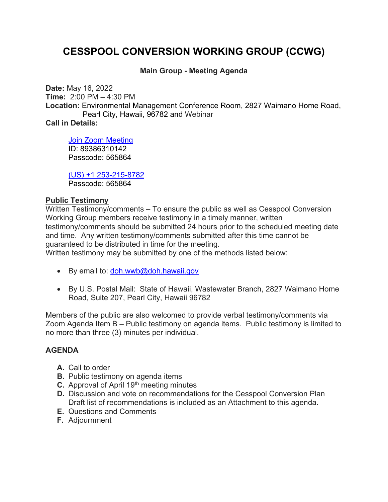# **CESSPOOL CONVERSION WORKING GROUP (CCWG)**

# **Main Group - Meeting Agenda**

**Date:** May 16, 2022 **Time:** 2:00 PM – 4:30 PM **Location:** Environmental Management Conference Room, 2827 Waimano Home Road, Pearl City, Hawaii, 96782 and Webinar **Call in Details:**

Join Zoom Meeting ID: 89386310142 Passcode: 565864

(US) +1 253-215-8782 Passcode: 565864

# **Public Testimony**

Written Testimony/comments – To ensure the public as well as Cesspool Conversion Working Group members receive testimony in a timely manner, written testimony/comments should be submitted 24 hours prior to the scheduled meeting date and time. Any written testimony/comments submitted after this time cannot be guaranteed to be distributed in time for the meeting. Written testimony may be submitted by one of the methods listed below:

- By email to: doh.wwb@doh.hawaii.gov
- By U.S. Postal Mail: State of Hawaii, Wastewater Branch, 2827 Waimano Home Road, Suite 207, Pearl City, Hawaii 96782

Members of the public are also welcomed to provide verbal testimony/comments via Zoom Agenda Item B – Public testimony on agenda items. Public testimony is limited to no more than three (3) minutes per individual.

# **AGENDA**

- **A.** Call to order
- **B.** Public testimony on agenda items
- **C.** Approval of April 19<sup>th</sup> meeting minutes
- **D.** Discussion and vote on recommendations for the Cesspool Conversion Plan Draft list of recommendations is included as an Attachment to this agenda.
- **E.** Questions and Comments
- **F.** Adjournment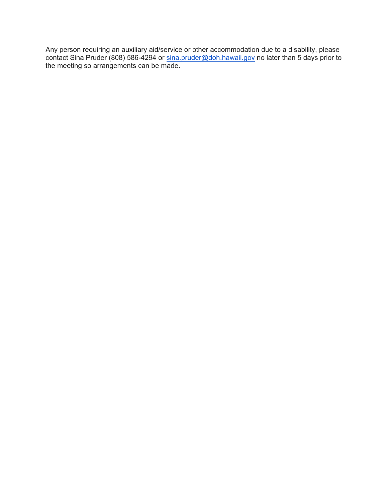Any person requiring an auxiliary aid/service or other accommodation due to a disability, please contact Sina Pruder (808) 586-4294 or <u>sina.pruder@doh.hawaii.gov</u> no later than 5 days prior to the meeting so arrangements can be made.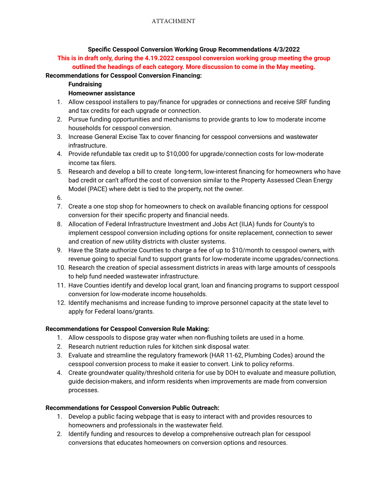#### **Specific Cesspool Conversion Working Group Recommendations 4/3/2022**

**This is in draft only, during the 4.19.2022 cesspool conversion working group meeting the group outlined the headings of each category. More discussion to come in the May meeting.**

#### **Recommendations for Cesspool Conversion Financing:**

**Fundraising**

#### **Homeowner assistance**

- 1. Allow cesspool installers to pay/finance for upgrades or connections and receive SRF funding and tax credits for each upgrade or connection.
- 2. Pursue funding opportunities and mechanisms to provide grants to low to moderate income households for cesspool conversion.
- 3. Increase General Excise Tax to cover financing for cesspool conversions and wastewater infrastructure.
- 4. Provide refundable tax credit up to \$10,000 for upgrade/connection costs for low-moderate income tax filers.
- 5. Research and develop a bill to create long-term, low-interest financing for homeowners who have bad credit or can't afford the cost of conversion similar to the Property Assessed Clean Energy Model (PACE) where debt is tied to the property, not the owner.

6.

- 7. Create a one stop shop for homeowners to check on available financing options for cesspool conversion for their specific property and financial needs.
- 8. Allocation of Federal Infrastructure Investment and Jobs Act (IIJA) funds for County's to implement cesspool conversion including options for onsite replacement, connection to sewer and creation of new utility districts with cluster systems.
- 9. Have the State authorize Counties to charge a fee of up to \$10/month to cesspool owners, with revenue going to special fund to support grants for low-moderate income upgrades/connections.
- 10. Research the creation of special assessment districts in areas with large amounts of cesspools to help fund needed wastewater infrastructure.
- 11. Have Counties identify and develop local grant, loan and financing programs to support cesspool conversion for low-moderate income households.
- 12. Identify mechanisms and increase funding to improve personnel capacity at the state level to apply for Federal loans/grants.

#### **Recommendations for Cesspool Conversion Rule Making:**

- 1. Allow cesspools to dispose gray water when non-flushing toilets are used in a home.
- 2. Research nutrient reduction rules for kitchen sink disposal water.
- 3. Evaluate and streamline the regulatory framework (HAR 11-62, Plumbing Codes) around the cesspool conversion process to make it easier to convert. Link to policy reforms.
- 4. Create groundwater quality/threshold criteria for use by DOH to evaluate and measure pollution, guide decision-makers, and inform residents when improvements are made from conversion processes.

# **Recommendations for Cesspool Conversion Public Outreach:**

- 1. Develop a public facing webpage that is easy to interact with and provides resources to homeowners and professionals in the wastewater field.
- 2. Identify funding and resources to develop a comprehensive outreach plan for cesspool conversions that educates homeowners on conversion options and resources.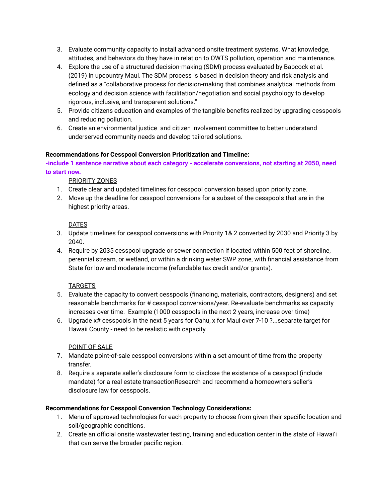- 3. Evaluate community capacity to install advanced onsite treatment systems. What knowledge, attitudes, and behaviors do they have in relation to OWTS pollution, operation and maintenance.
- 4. Explore the use of a structured decision-making (SDM) process evaluated by Babcock et al. (2019) in upcountry Maui. The SDM process is based in decision theory and risk analysis and defined as a "collaborative process for decision-making that combines analytical methods from ecology and decision science with facilitation/negotiation and social psychology to develop rigorous, inclusive, and transparent solutions."
- 5. Provide citizens education and examples of the tangible benefits realized by upgrading cesspools and reducing pollution.
- 6. Create an environmental justice and citizen involvement committee to better understand underserved community needs and develop tailored solutions.

#### **Recommendations for Cesspool Conversion Prioritization and Timeline:**

**-include 1 sentence narrative about each category - accelerate conversions, not starting at 2050, need to start now.**

#### PRIORITY ZONES

- 1. Create clear and updated timelines for cesspool conversion based upon priority zone.
- 2. Move up the deadline for cesspool conversions for a subset of the cesspools that are in the highest priority areas.

#### DATES

- 3. Update timelines for cesspool conversions with Priority 1& 2 converted by 2030 and Priority 3 by 2040.
- 4. Require by 2035 cesspool upgrade or sewer connection if located within 500 feet of shoreline, perennial stream, or wetland, or within a drinking water SWP zone, with financial assistance from State for low and moderate income (refundable tax credit and/or grants).

#### **TARGETS**

- 5. Evaluate the capacity to convert cesspools (financing, materials, contractors, designers) and set reasonable benchmarks for # cesspool conversions/year. Re-evaluate benchmarks as capacity increases over time. Example (1000 cesspools in the next 2 years, increase over time)
- 6. Upgrade x# cesspools in the next 5 years for Oahu, x for Maui over 7-10 ?...separate target for Hawaii County - need to be realistic with capacity

#### POINT OF SALE

- 7. Mandate point-of-sale cesspool conversions within a set amount of time from the property transfer.
- 8. Require a separate seller's disclosure form to disclose the existence of a cesspool (include mandate) for a real estate transactionResearch and recommend a homeowners seller's disclosure law for cesspools.

#### **Recommendations for Cesspool Conversion Technology Considerations:**

- 1. Menu of approved technologies for each property to choose from given their specific location and soil/geographic conditions.
- 2. Create an official onsite wastewater testing, training and education center in the state of Hawai'i that can serve the broader pacific region.